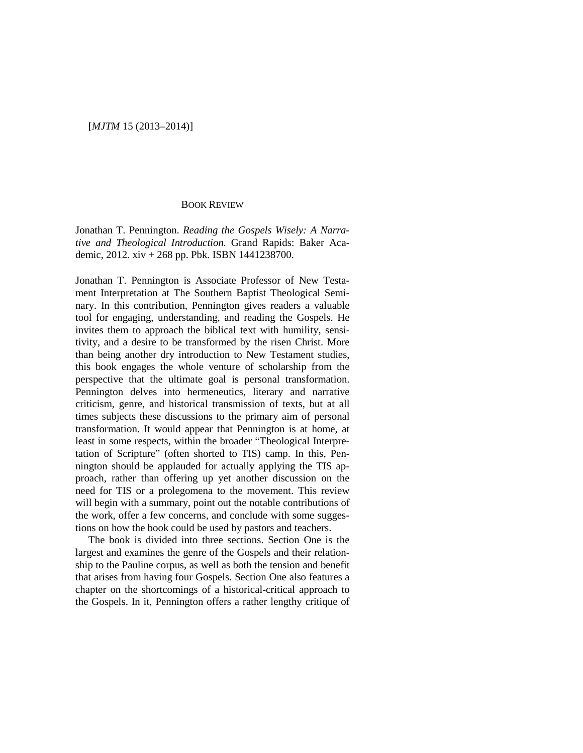## [*MJTM* 15 (2013–2014)]

## BOOK REVIEW

Jonathan T. Pennington. *Reading the Gospels Wisely: A Narrative and Theological Introduction.* Grand Rapids: Baker Academic, 2012. xiv + 268 pp. Pbk. ISBN 1441238700.

Jonathan T. Pennington is Associate Professor of New Testament Interpretation at The Southern Baptist Theological Seminary. In this contribution, Pennington gives readers a valuable tool for engaging, understanding, and reading the Gospels. He invites them to approach the biblical text with humility, sensitivity, and a desire to be transformed by the risen Christ. More than being another dry introduction to New Testament studies, this book engages the whole venture of scholarship from the perspective that the ultimate goal is personal transformation. Pennington delves into hermeneutics, literary and narrative criticism, genre, and historical transmission of texts, but at all times subjects these discussions to the primary aim of personal transformation. It would appear that Pennington is at home, at least in some respects, within the broader "Theological Interpretation of Scripture" (often shorted to TIS) camp. In this, Pennington should be applauded for actually applying the TIS approach, rather than offering up yet another discussion on the need for TIS or a prolegomena to the movement. This review will begin with a summary, point out the notable contributions of the work, offer a few concerns, and conclude with some suggestions on how the book could be used by pastors and teachers.

The book is divided into three sections. Section One is the largest and examines the genre of the Gospels and their relationship to the Pauline corpus, as well as both the tension and benefit that arises from having four Gospels. Section One also features a chapter on the shortcomings of a historical-critical approach to the Gospels. In it, Pennington offers a rather lengthy critique of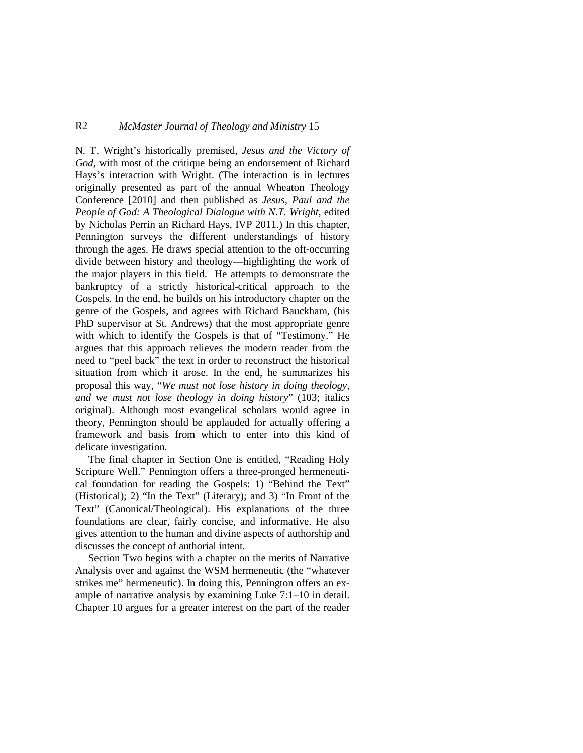## R2 *McMaster Journal of Theology and Ministry* 15

N. T. Wright's historically premised, *Jesus and the Victory of God*, with most of the critique being an endorsement of Richard Hays's interaction with Wright. (The interaction is in lectures originally presented as part of the annual Wheaton Theology Conference [2010] and then published as *Jesus, Paul and the People of God: A Theological Dialogue with N.T. Wright*, edited by Nicholas Perrin an Richard Hays, IVP 2011.) In this chapter, Pennington surveys the different understandings of history through the ages. He draws special attention to the oft-occurring divide between history and theology—highlighting the work of the major players in this field. He attempts to demonstrate the bankruptcy of a strictly historical-critical approach to the Gospels. In the end, he builds on his introductory chapter on the genre of the Gospels, and agrees with Richard Bauckham, (his PhD supervisor at St. Andrews) that the most appropriate genre with which to identify the Gospels is that of "Testimony." He argues that this approach relieves the modern reader from the need to "peel back" the text in order to reconstruct the historical situation from which it arose. In the end, he summarizes his proposal this way, "*We must not lose history in doing theology, and we must not lose theology in doing history*" (103; italics original). Although most evangelical scholars would agree in theory, Pennington should be applauded for actually offering a framework and basis from which to enter into this kind of delicate investigation.

The final chapter in Section One is entitled, "Reading Holy Scripture Well." Pennington offers a three-pronged hermeneutical foundation for reading the Gospels: 1) "Behind the Text" (Historical); 2) "In the Text" (Literary); and 3) "In Front of the Text" (Canonical/Theological). His explanations of the three foundations are clear, fairly concise, and informative. He also gives attention to the human and divine aspects of authorship and discusses the concept of authorial intent.

Section Two begins with a chapter on the merits of Narrative Analysis over and against the WSM hermeneutic (the "whatever strikes me" hermeneutic). In doing this, Pennington offers an example of narrative analysis by examining Luke 7:1–10 in detail. Chapter 10 argues for a greater interest on the part of the reader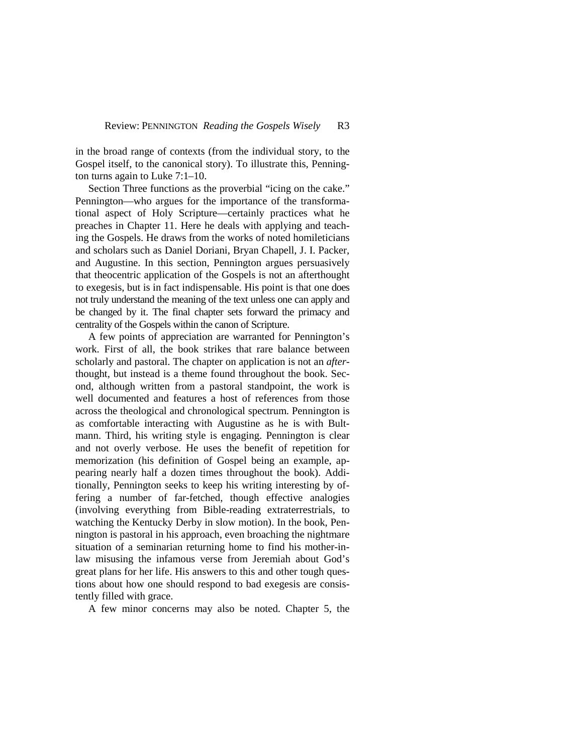in the broad range of contexts (from the individual story, to the Gospel itself, to the canonical story). To illustrate this, Pennington turns again to Luke 7:1–10.

Section Three functions as the proverbial "icing on the cake." Pennington—who argues for the importance of the transformational aspect of Holy Scripture—certainly practices what he preaches in Chapter 11. Here he deals with applying and teaching the Gospels. He draws from the works of noted homileticians and scholars such as Daniel Doriani, Bryan Chapell, J. I. Packer, and Augustine. In this section, Pennington argues persuasively that theocentric application of the Gospels is not an afterthought to exegesis, but is in fact indispensable. His point is that one does not truly understand the meaning of the text unless one can apply and be changed by it. The final chapter sets forward the primacy and centrality of the Gospels within the canon of Scripture.

A few points of appreciation are warranted for Pennington's work. First of all, the book strikes that rare balance between scholarly and pastoral. The chapter on application is not an *after*thought, but instead is a theme found throughout the book. Second, although written from a pastoral standpoint, the work is well documented and features a host of references from those across the theological and chronological spectrum. Pennington is as comfortable interacting with Augustine as he is with Bultmann. Third, his writing style is engaging. Pennington is clear and not overly verbose. He uses the benefit of repetition for memorization (his definition of Gospel being an example, appearing nearly half a dozen times throughout the book). Additionally, Pennington seeks to keep his writing interesting by offering a number of far-fetched, though effective analogies (involving everything from Bible-reading extraterrestrials, to watching the Kentucky Derby in slow motion). In the book, Pennington is pastoral in his approach, even broaching the nightmare situation of a seminarian returning home to find his mother-inlaw misusing the infamous verse from Jeremiah about God's great plans for her life. His answers to this and other tough questions about how one should respond to bad exegesis are consistently filled with grace.

A few minor concerns may also be noted. Chapter 5, the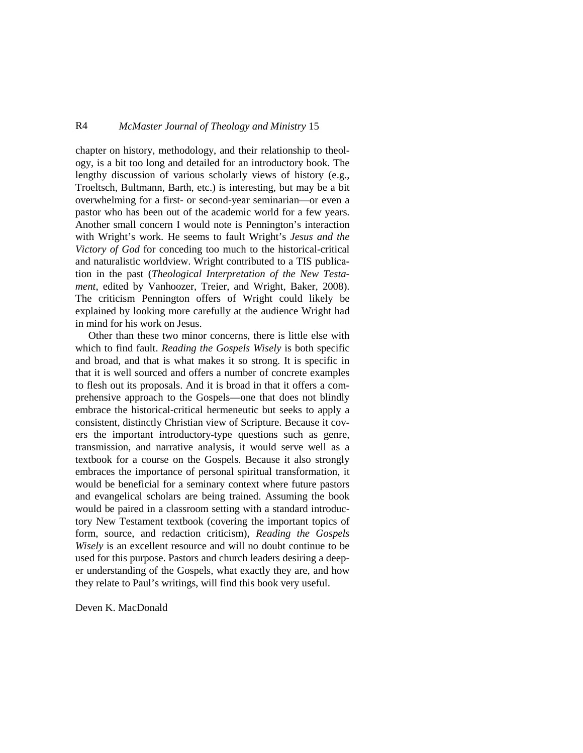## R4 *McMaster Journal of Theology and Ministry* 15

chapter on history, methodology, and their relationship to theology, is a bit too long and detailed for an introductory book. The lengthy discussion of various scholarly views of history (e.g., Troeltsch, Bultmann, Barth, etc.) is interesting, but may be a bit overwhelming for a first- or second-year seminarian—or even a pastor who has been out of the academic world for a few years. Another small concern I would note is Pennington's interaction with Wright's work. He seems to fault Wright's *Jesus and the Victory of God* for conceding too much to the historical-critical and naturalistic worldview. Wright contributed to a TIS publication in the past (*Theological Interpretation of the New Testament*, edited by Vanhoozer, Treier, and Wright, Baker, 2008). The criticism Pennington offers of Wright could likely be explained by looking more carefully at the audience Wright had in mind for his work on Jesus.

Other than these two minor concerns, there is little else with which to find fault. *Reading the Gospels Wisely* is both specific and broad, and that is what makes it so strong. It is specific in that it is well sourced and offers a number of concrete examples to flesh out its proposals. And it is broad in that it offers a comprehensive approach to the Gospels—one that does not blindly embrace the historical-critical hermeneutic but seeks to apply a consistent, distinctly Christian view of Scripture. Because it covers the important introductory-type questions such as genre, transmission, and narrative analysis, it would serve well as a textbook for a course on the Gospels. Because it also strongly embraces the importance of personal spiritual transformation, it would be beneficial for a seminary context where future pastors and evangelical scholars are being trained. Assuming the book would be paired in a classroom setting with a standard introductory New Testament textbook (covering the important topics of form, source, and redaction criticism), *Reading the Gospels Wisely* is an excellent resource and will no doubt continue to be used for this purpose. Pastors and church leaders desiring a deeper understanding of the Gospels, what exactly they are, and how they relate to Paul's writings, will find this book very useful.

Deven K. MacDonald